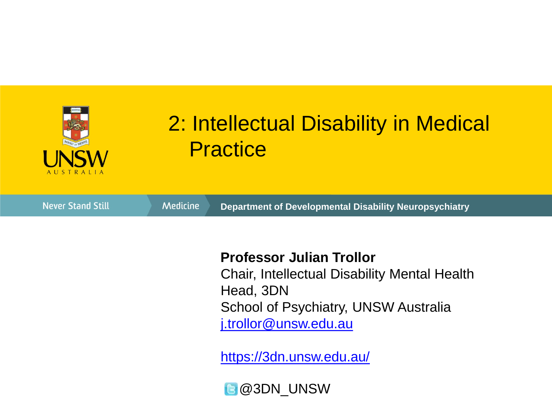

#### 2: Intellectual Disability in Medical **Practice**

**Never Stand Still** Medicine **Department of Developmental Disability Neuropsychiatry**

#### **Professor Julian Trollor**

Chair, Intellectual Disability Mental Health Head, 3DN School of Psychiatry, UNSW Australia [j.trollor@unsw.edu.au](mailto:j.trollor@unsw.edu.au)

<https://3dn.unsw.edu.au/>

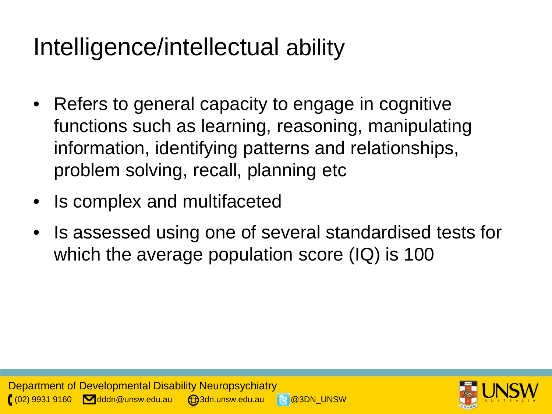# Intelligence/intellectual ability

- Refers to general capacity to engage in cognitive functions such as learning, reasoning, manipulating information, identifying patterns and relationships, problem solving, recall, planning etc
- Is complex and multifaceted
- Is assessed using one of several standardised tests for which the average population score (IQ) is 100



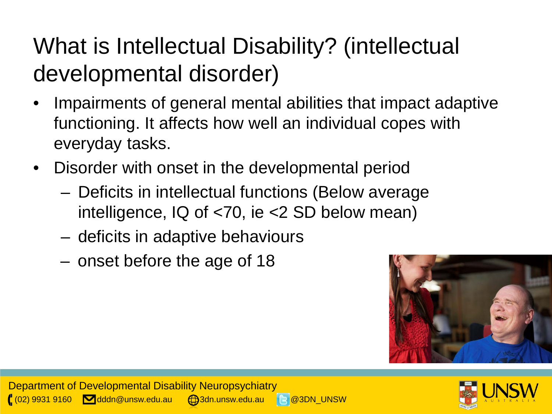## What is Intellectual Disability? (intellectual developmental disorder)

- Impairments of general mental abilities that impact adaptive functioning. It affects how well an individual copes with everyday tasks.
- Disorder with onset in the developmental period
	- Deficits in intellectual functions (Below average intelligence, IQ of <70, ie <2 SD below mean)
	- deficits in adaptive behaviours
	- onset before the age of 18



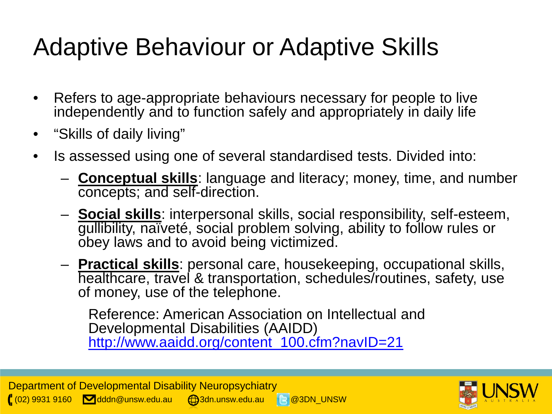# Adaptive Behaviour or Adaptive Skills

- Refers to age-appropriate behaviours necessary for people to live independently and to function safely and appropriately in daily life
- "Skills of daily living"
- Is assessed using one of several standardised tests. Divided into:
	- **Conceptual skills**: language and literacy; money, time, and number concepts; and self-direction.
	- **Social skills**: interpersonal skills, social responsibility, self-esteem, gullibility, naïveté, social problem solving, ability to follow rules or obey laws and to avoid being victimized.
	- **Practical skills**: personal care, housekeeping, occupational skills, healthcare, travel & transportation, schedules/routines, safety, use of money, use of the telephone.

Reference: American Association on Intellectual and Developmental Disabilities (AAIDD) [http://www.aaidd.org/content\\_100.cfm?navID=21](http://www.aaidd.org/content_100.cfm?navID=21)

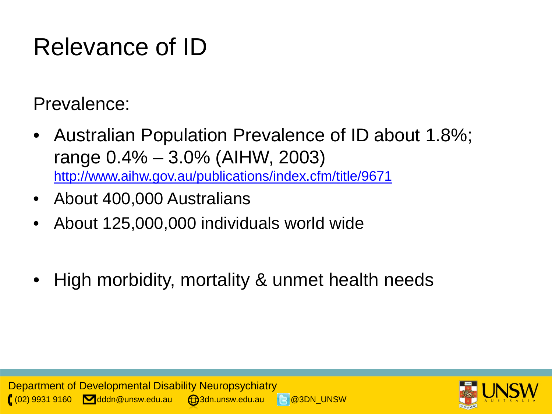# Relevance of ID

Prevalence:

- Australian Population Prevalence of ID about 1.8%; range 0.4% – 3.0% (AIHW, 2003) <http://www.aihw.gov.au/publications/index.cfm/title/9671>
- About 400,000 Australians
- About 125,000,000 individuals world wide
- High morbidity, mortality & unmet health needs



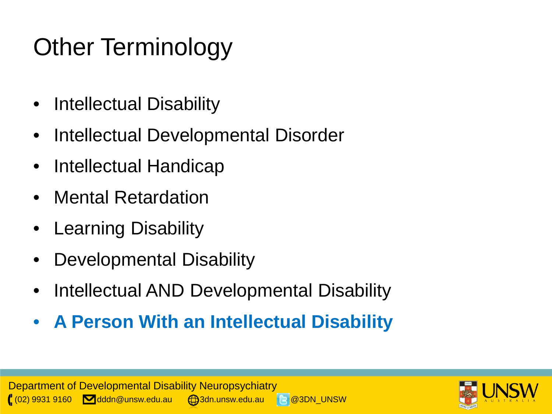# Other Terminology

- Intellectual Disability
- Intellectual Developmental Disorder
- Intellectual Handicap
- Mental Retardation
- Learning Disability
- Developmental Disability
- Intellectual AND Developmental Disability
- **A Person With an Intellectual Disability**



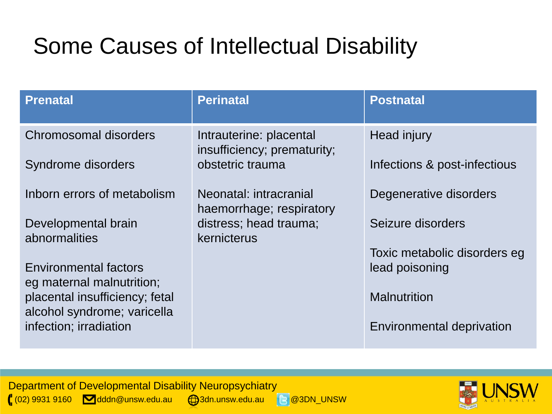#### Some Causes of Intellectual Disability

| <b>Prenatal</b>                                             | <b>Perinatal</b>                                       | <b>Postnatal</b>                               |
|-------------------------------------------------------------|--------------------------------------------------------|------------------------------------------------|
| Chromosomal disorders                                       | Intrauterine: placental<br>insufficiency; prematurity; | <b>Head injury</b>                             |
| Syndrome disorders                                          | obstetric trauma                                       | Infections & post-infectious                   |
| Inborn errors of metabolism                                 | Neonatal: intracranial<br>haemorrhage; respiratory     | Degenerative disorders                         |
| Developmental brain<br>abnormalities                        | distress; head trauma;<br>kernicterus                  | Seizure disorders                              |
| <b>Environmental factors</b>                                |                                                        | Toxic metabolic disorders eg<br>lead poisoning |
| eg maternal malnutrition;<br>placental insufficiency; fetal |                                                        | <b>Malnutrition</b>                            |
| alcohol syndrome; varicella                                 |                                                        |                                                |
| infection; irradiation                                      |                                                        | <b>Environmental deprivation</b>               |

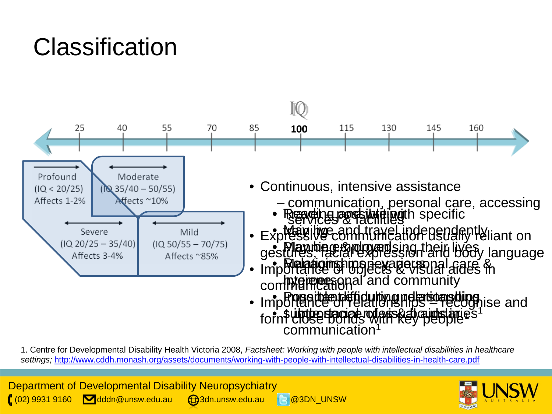# **Classification**



1. Centre for Developmental Disability Health Victoria 2008, *Factsheet: Working with people with intellectual disabilities in healthcare settings;* <http://www.cddh.monash.org/assets/documents/working-with-people-with-intellectual-disabilities-in-health-care.pdf>

Department of Developmental Disability Neuropsychiatry  $\left( \begin{array}{cc} (02) 9931 9160 \end{array} \right)$  dddn@unsw.edu.au  $\left( \begin{array}{cc} 3 \end{array} \right)$ 3dn.unsw.edu.au  $\left( \begin{array}{cc} 2 \end{array} \right)$  @3DN\_UNSW

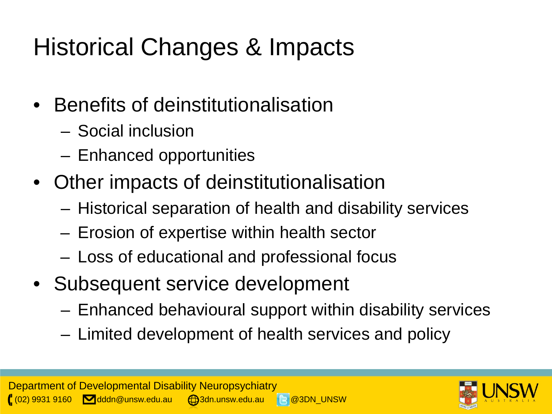# Historical Changes & Impacts

- Benefits of deinstitutionalisation
	- Social inclusion
	- Enhanced opportunities
- Other impacts of deinstitutionalisation
	- Historical separation of health and disability services
	- Erosion of expertise within health sector
	- Loss of educational and professional focus
- Subsequent service development
	- Enhanced behavioural support within disability services
	- Limited development of health services and policy

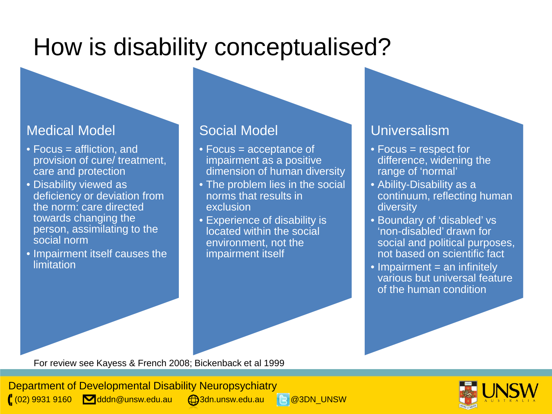## How is disability conceptualised?

#### Medical Model

- Focus = affliction, and provision of cure/ treatment, care and protection
- Disability viewed as deficiency or deviation from the norm: care directed towards changing the person, assimilating to the social norm
- Impairment itself causes the limitation

#### Social Model

- Focus = acceptance of impairment as a positive dimension of human diversity
- The problem lies in the social norms that results in exclusion
- Experience of disability is located within the social environment, not the impairment itself

#### Universalism

- Focus = respect for difference, widening the range of 'normal'
- Ability-Disability as a continuum, reflecting human diversity
- Boundary of 'disabled' vs 'non-disabled' drawn for social and political purposes, not based on scientific fact
- $\bullet$  Impairment = an infinitely various but universal feature of the human condition

For review see Kayess & French 2008; Bickenback et al 1999

Department of Developmental Disability Neuropsychiatry  $(02)$  9931 9160  $\blacksquare$  dddn@unsw.edu.au  $\blacksquare$ 3dn.unsw.edu.au  $\blacksquare$  @3DN\_UNSW

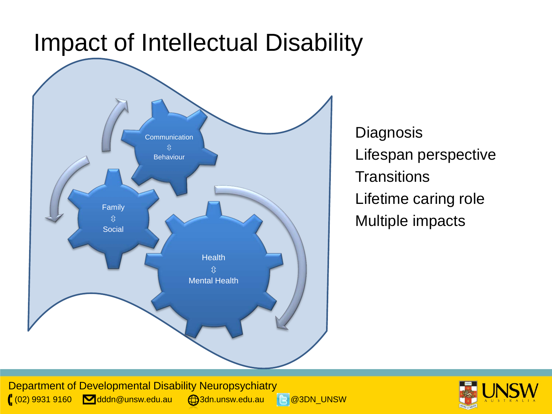#### Impact of Intellectual Disability



**Diagnosis** Lifespan perspective **Transitions** Lifetime caring role Multiple impacts

Department of Developmental Disability Neuropsychiatry ( $(02)$  9931 9160 **dddn@unsw.edu.au**  $\bigoplus$ 3dn.unsw.edu.au 8 @3DN\_UNSW

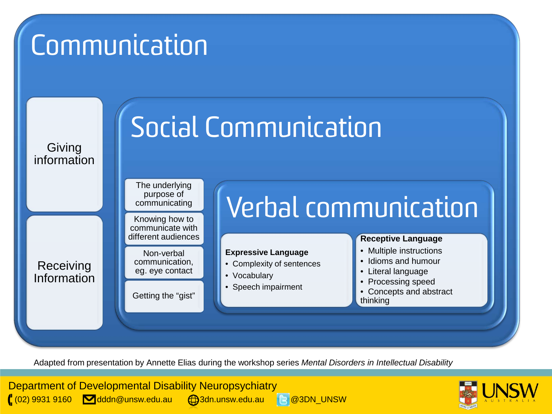# **Communication**



Adapted from presentation by Annette Elias during the workshop series *Mental Disorders in Intellectual Disability*

Department of Developmental Disability Neuropsychiatry  $(02)$  9931 9160  $\blacksquare$ dddn@unsw.edu.au  $\blacksquare$ 3dn.unsw.edu.au  $\blacksquare$ 3DN UNSW



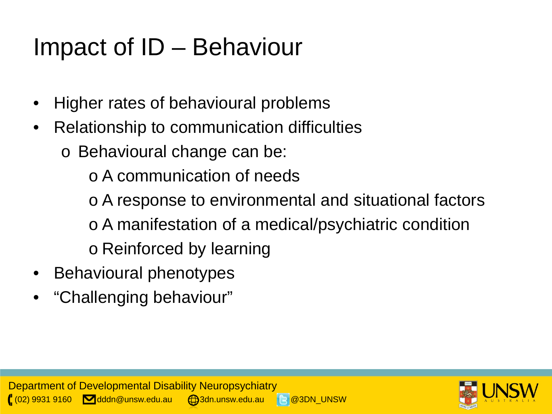# Impact of ID – Behaviour

- Higher rates of behavioural problems
- Relationship to communication difficulties
	- o Behavioural change can be:
		- o A communication of needs
		- o A response to environmental and situational factors
		- o A manifestation of a medical/psychiatric condition
		- o Reinforced by learning
- Behavioural phenotypes
- "Challenging behaviour"

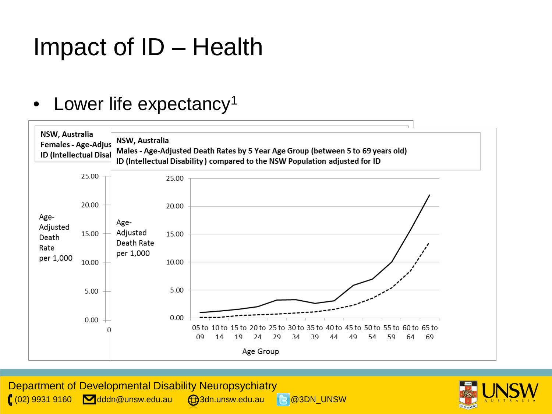## Impact of ID – Health

#### • Lower life expectancy<sup>1</sup>



Department of Developmental Disability Neuropsychiatry  $(02)$  9931 9160  $\blacksquare$  dddn@unsw.edu.au  $\blacksquare$ 3dn.unsw.edu.au  $\blacksquare$  @3DN\_UNSW

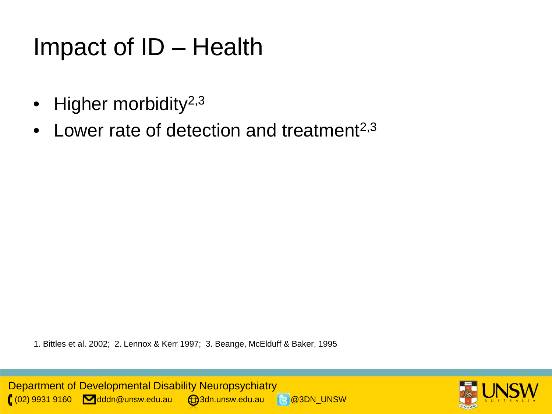## Impact of ID – Health

- Higher morbidity<sup>2,3</sup>
- Lower rate of detection and treatment<sup> $2,3$ </sup>

1. Bittles et al. 2002; 2. Lennox & Kerr 1997; 3. Beange, McElduff & Baker, 1995

Department of Developmental Disability Neuropsychiatry (02) 9931 9160 dddn@unsw.edu.au 3dn.unsw.edu.au @3DN\_UNSW

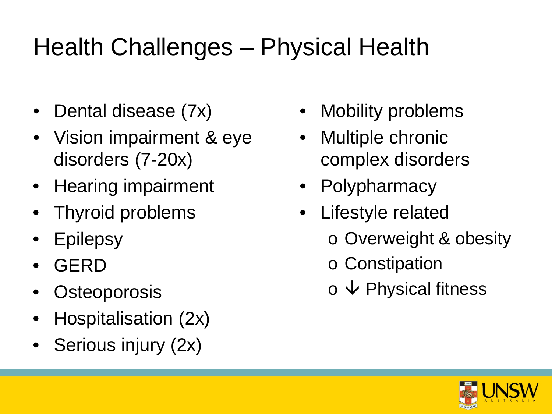# Health Challenges – Physical Health

- Dental disease (7x)
- Vision impairment & eye disorders (7-20x)
- Hearing impairment
- Thyroid problems
- **Epilepsy**
- GERD
- **Osteoporosis**
- Hospitalisation (2x)
- Serious injury (2x)
- **Mobility problems**
- Multiple chronic complex disorders
- Polypharmacy
- Lifestyle related
	- o Overweight & obesity
	- o Constipation
	- $\circ \mathsf{\Psi}$  Physical fitness

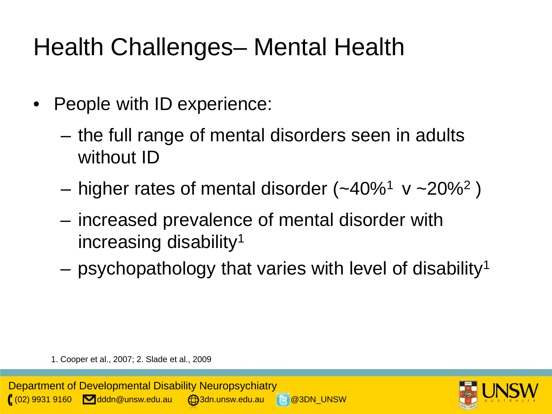# Health Challenges– Mental Health

- People with ID experience:
	- the full range of mental disorders seen in adults without ID
	- higher rates of mental disorder  $(-40\%)^1$  v ~20%<sup>2</sup>)
	- increased prevalence of mental disorder with increasing disability1
	- $-$  psychopathology that varies with level of disability<sup>1</sup>

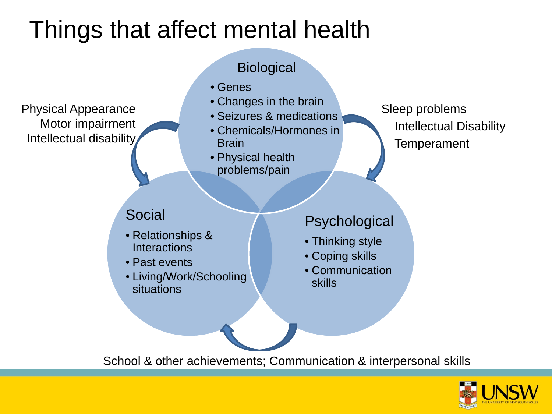#### Things that affect mental health



School & other achievements; Communication & interpersonal skills

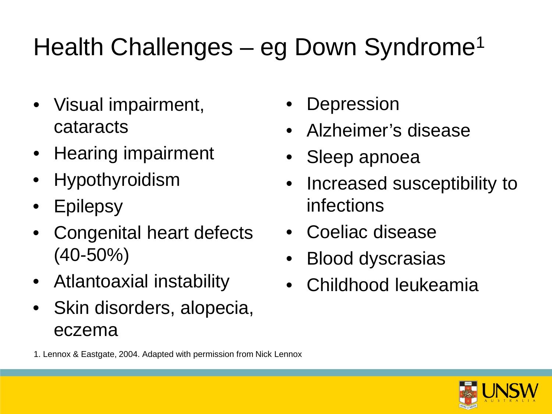# Health Challenges – eg Down Syndrome<sup>1</sup>

- Visual impairment, cataracts
- Hearing impairment
- Hypothyroidism
- Epilepsy
- Congenital heart defects (40-50%)
- Atlantoaxial instability
- Skin disorders, alopecia, eczema
- **Depression**
- Alzheimer's disease
- Sleep apnoea
- Increased susceptibility to infections
- Coeliac disease
- Blood dyscrasias
- Childhood leukeamia



1. Lennox & Eastgate, 2004. Adapted with permission from Nick Lennox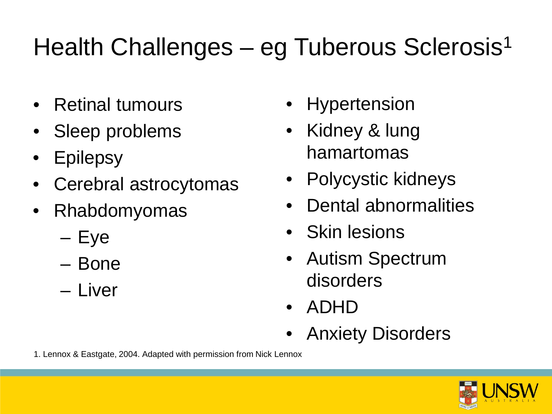# Health Challenges – eg Tuberous Sclerosis<sup>1</sup>

- Retinal tumours
- Sleep problems
- Epilepsy
- Cerebral astrocytomas
- Rhabdomyomas
	- Eye
	- Bone
	- Liver
- **Hypertension**
- Kidney & lung hamartomas
- Polycystic kidneys
- Dental abnormalities
- Skin lesions
- Autism Spectrum disorders
- ADHD
- Anxiety Disorders

1. Lennox & Eastgate, 2004. Adapted with permission from Nick Lennox

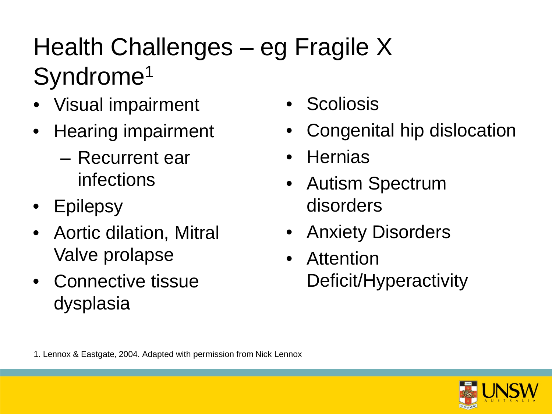# Health Challenges – eg Fragile X Syndrome<sup>1</sup>

- Visual impairment
- Hearing impairment
	- Recurrent ear infections
- Epilepsy
- Aortic dilation, Mitral Valve prolapse
- Connective tissue dysplasia
- Scoliosis
- Congenital hip dislocation
- Hernias
- Autism Spectrum disorders
- Anxiety Disorders
- Attention Deficit/Hyperactivity

1. Lennox & Eastgate, 2004. Adapted with permission from Nick Lennox

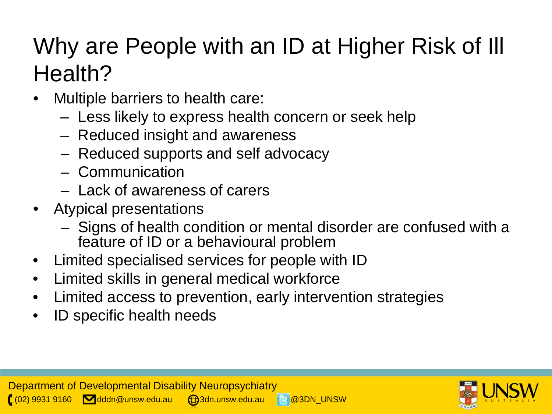## Why are People with an ID at Higher Risk of Ill Health?

- Multiple barriers to health care:
	- Less likely to express health concern or seek help
	- Reduced insight and awareness
	- Reduced supports and self advocacy
	- Communication
	- Lack of awareness of carers
- Atypical presentations
	- Signs of health condition or mental disorder are confused with a feature of ID or a behavioural problem
- Limited specialised services for people with ID
- Limited skills in general medical workforce
- Limited access to prevention, early intervention strategies
- ID specific health needs

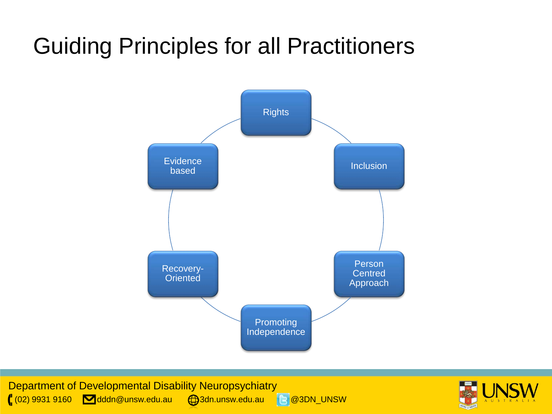#### Guiding Principles for all Practitioners



Department of Developmental Disability Neuropsychiatry ( $(02)$  9931 9160 **dddn@unsw.edu.au**  $\bigoplus$ 3dn.unsw.edu.au 8 @3DN\_UNSW

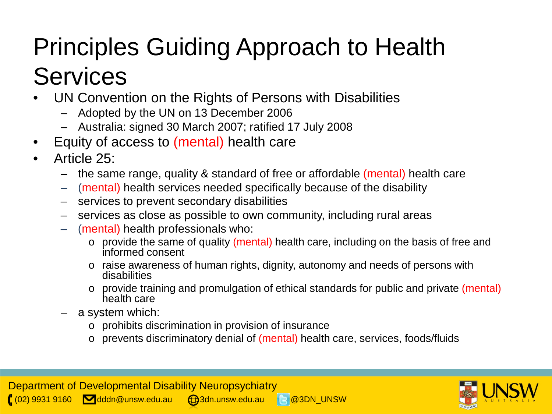# Principles Guiding Approach to Health Services

- UN Convention on the Rights of Persons with Disabilities
	- Adopted by the UN on 13 December 2006
	- Australia: signed 30 March 2007; ratified 17 July 2008
- Equity of access to (mental) health care
- Article 25:
	- the same range, quality & standard of free or affordable (mental) health care
	- (mental) health services needed specifically because of the disability
	- services to prevent secondary disabilities
	- services as close as possible to own community, including rural areas
	- (mental) health professionals who:
		- o provide the same of quality (mental) health care, including on the basis of free and informed consent
		- o raise awareness of human rights, dignity, autonomy and needs of persons with disabilities
		- o provide training and promulgation of ethical standards for public and private (mental) health care
	- a system which:
		- o prohibits discrimination in provision of insurance
		- o prevents discriminatory denial of (mental) health care, services, foods/fluids

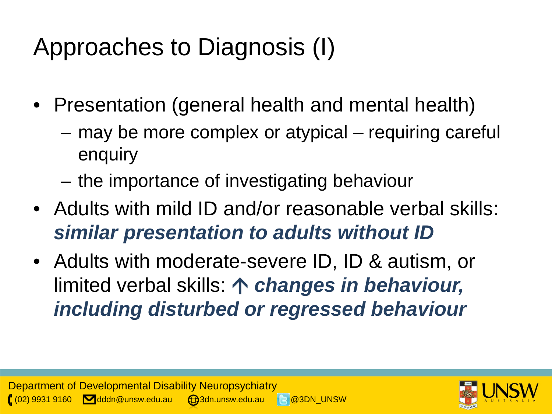# Approaches to Diagnosis (I)

- Presentation (general health and mental health)
	- may be more complex or atypical requiring careful enquiry
	- the importance of investigating behaviour
- Adults with mild ID and/or reasonable verbal skills: *similar presentation to adults without ID*
- Adults with moderate-severe ID, ID & autism, or limited verbal skills: *changes in behaviour, including disturbed or regressed behaviour*

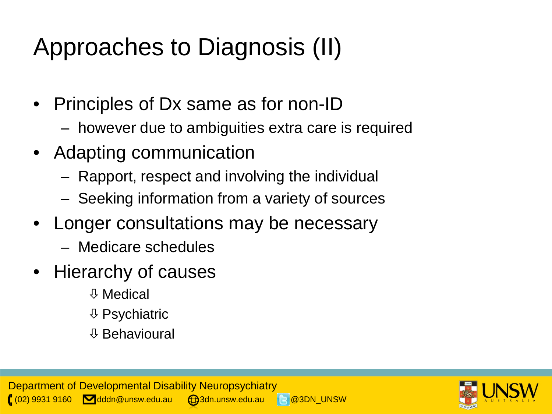# Approaches to Diagnosis (II)

- Principles of Dx same as for non-ID
	- however due to ambiguities extra care is required
- Adapting communication
	- Rapport, respect and involving the individual
	- Seeking information from a variety of sources
- Longer consultations may be necessary
	- Medicare schedules
- Hierarchy of causes
	- Medical
	- $\downarrow$  Psychiatric
	- Behavioural

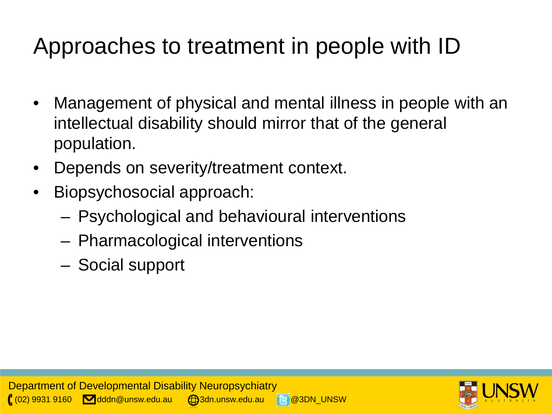## Approaches to treatment in people with ID

- Management of physical and mental illness in people with an intellectual disability should mirror that of the general population.
- Depends on severity/treatment context.
- Biopsychosocial approach:
	- Psychological and behavioural interventions
	- Pharmacological interventions
	- Social support

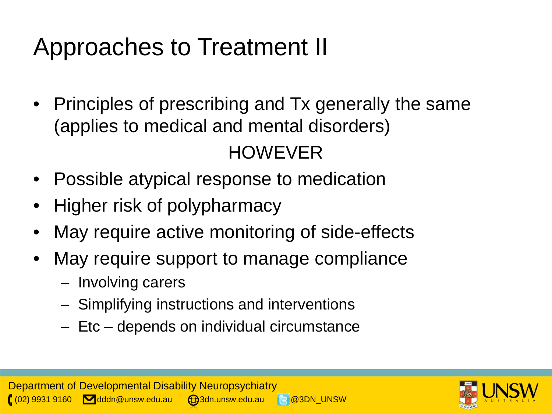# Approaches to Treatment II

• Principles of prescribing and Tx generally the same (applies to medical and mental disorders)

#### HOWEVER

- Possible atypical response to medication
- Higher risk of polypharmacy
- May require active monitoring of side-effects
- May require support to manage compliance
	- Involving carers
	- Simplifying instructions and interventions
	- Etc depends on individual circumstance

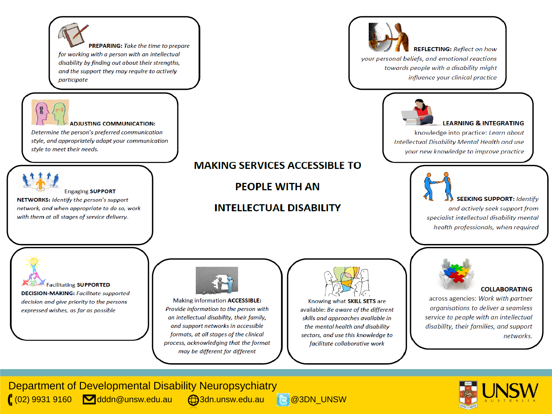

Department of Developmental Disability Neuropsychiatry (02) 9931 9160 dddn@unsw.edu.au (com.unsw.edu.au 8 @3DN\_UNSW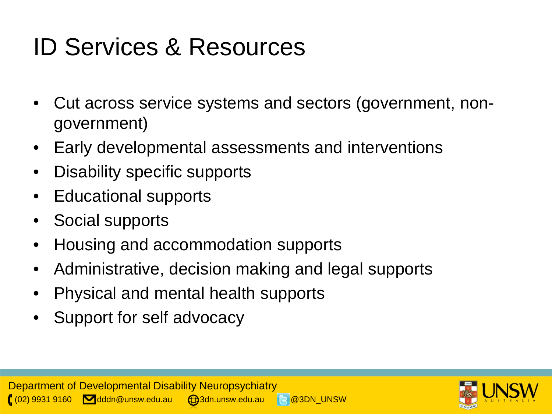# ID Services & Resources

- Cut across service systems and sectors (government, nongovernment)
- Early developmental assessments and interventions
- Disability specific supports
- Educational supports
- Social supports
- Housing and accommodation supports
- Administrative, decision making and legal supports
- Physical and mental health supports
- Support for self advocacy

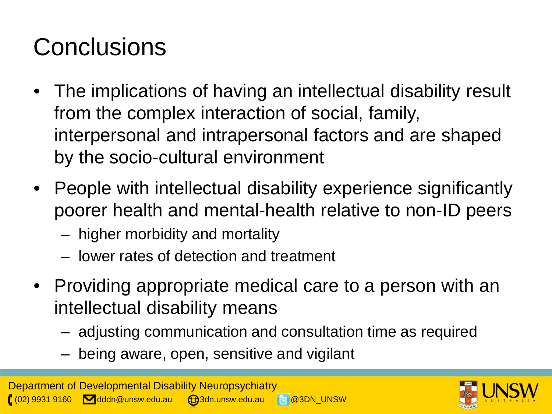# **Conclusions**

- The implications of having an intellectual disability result from the complex interaction of social, family, interpersonal and intrapersonal factors and are shaped by the socio-cultural environment
- People with intellectual disability experience significantly poorer health and mental-health relative to non-ID peers
	- higher morbidity and mortality
	- lower rates of detection and treatment
- Providing appropriate medical care to a person with an intellectual disability means
	- adjusting communication and consultation time as required
	- being aware, open, sensitive and vigilant